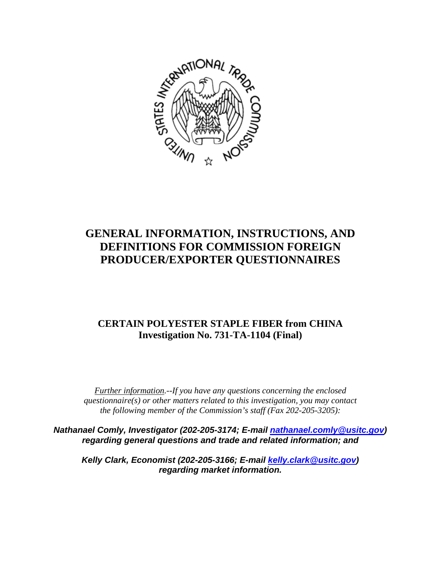

# **GENERAL INFORMATION, INSTRUCTIONS, AND DEFINITIONS FOR COMMISSION FOREIGN PRODUCER/EXPORTER QUESTIONNAIRES**

## **CERTAIN POLYESTER STAPLE FIBER from CHINA Investigation No. 731-TA-1104 (Final)**

*Further information.--If you have any questions concerning the enclosed questionnaire(s) or other matters related to this investigation, you may contact the following member of the Commission's staff (Fax 202-205-3205):* 

*Nathanael Comly, Investigator (202-205-3174; E-mail nathanael.comly@usitc.gov) regarding general questions and trade and related information; and* 

*Kelly Clark, Economist (202-205-3166; E-mail kelly.clark@usitc.gov) regarding market information.*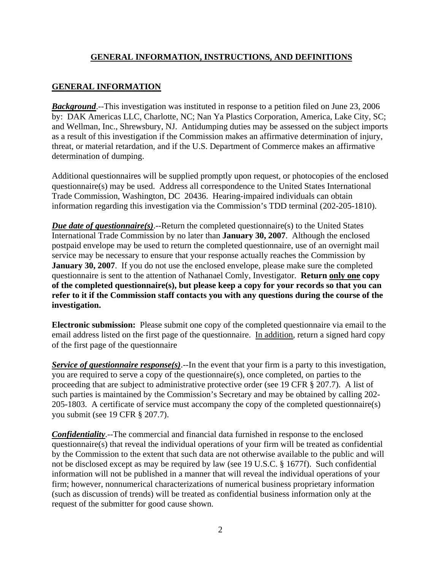#### **GENERAL INFORMATION, INSTRUCTIONS, AND DEFINITIONS**

### **GENERAL INFORMATION**

**Background**.--This investigation was instituted in response to a petition filed on June 23, 2006 by: DAK Americas LLC, Charlotte, NC; Nan Ya Plastics Corporation, America, Lake City, SC; and Wellman, Inc., Shrewsbury, NJ. Antidumping duties may be assessed on the subject imports as a result of this investigation if the Commission makes an affirmative determination of injury, threat, or material retardation, and if the U.S. Department of Commerce makes an affirmative determination of dumping.

Additional questionnaires will be supplied promptly upon request, or photocopies of the enclosed questionnaire(s) may be used. Address all correspondence to the United States International Trade Commission, Washington, DC 20436. Hearing-impaired individuals can obtain information regarding this investigation via the Commission's TDD terminal (202-205-1810).

*Due date of questionnaire(s)*.--Return the completed questionnaire(s) to the United States International Trade Commission by no later than **January 30, 2007**. Although the enclosed postpaid envelope may be used to return the completed questionnaire, use of an overnight mail service may be necessary to ensure that your response actually reaches the Commission by **January 30, 2007**. If you do not use the enclosed envelope, please make sure the completed questionnaire is sent to the attention of Nathanael Comly, Investigator. **Return only one copy of the completed questionnaire(s), but please keep a copy for your records so that you can refer to it if the Commission staff contacts you with any questions during the course of the investigation.**

**Electronic submission:** Please submit one copy of the completed questionnaire via email to the email address listed on the first page of the questionnaire. In addition, return a signed hard copy of the first page of the questionnaire

*Service of questionnaire response(s).*--In the event that your firm is a party to this investigation, you are required to serve a copy of the questionnaire(s), once completed, on parties to the proceeding that are subject to administrative protective order (see 19 CFR § 207.7). A list of such parties is maintained by the Commission's Secretary and may be obtained by calling 202- 205-1803. A certificate of service must accompany the copy of the completed questionnaire(s) you submit (see 19 CFR § 207.7).

*Confidentiality*.--The commercial and financial data furnished in response to the enclosed questionnaire(s) that reveal the individual operations of your firm will be treated as confidential by the Commission to the extent that such data are not otherwise available to the public and will not be disclosed except as may be required by law (see 19 U.S.C. § 1677f). Such confidential information will not be published in a manner that will reveal the individual operations of your firm; however, nonnumerical characterizations of numerical business proprietary information (such as discussion of trends) will be treated as confidential business information only at the request of the submitter for good cause shown.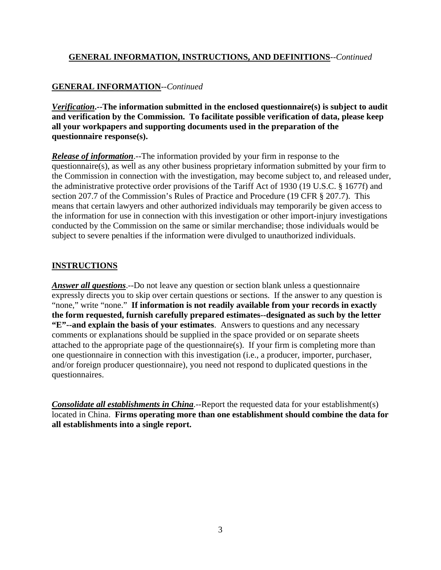#### **GENERAL INFORMATION, INSTRUCTIONS, AND DEFINITIONS**--*Continued*

### **GENERAL INFORMATION**--*Continued*

*Verification***.--The information submitted in the enclosed questionnaire(s) is subject to audit and verification by the Commission. To facilitate possible verification of data, please keep all your workpapers and supporting documents used in the preparation of the questionnaire response(s).**

*Release of information*.--The information provided by your firm in response to the questionnaire(s), as well as any other business proprietary information submitted by your firm to the Commission in connection with the investigation, may become subject to, and released under, the administrative protective order provisions of the Tariff Act of 1930 (19 U.S.C. § 1677f) and section 207.7 of the Commission's Rules of Practice and Procedure (19 CFR § 207.7). This means that certain lawyers and other authorized individuals may temporarily be given access to the information for use in connection with this investigation or other import-injury investigations conducted by the Commission on the same or similar merchandise; those individuals would be subject to severe penalties if the information were divulged to unauthorized individuals.

#### **INSTRUCTIONS**

*Answer all questions*.--Do not leave any question or section blank unless a questionnaire expressly directs you to skip over certain questions or sections. If the answer to any question is "none," write "none." **If information is not readily available from your records in exactly the form requested, furnish carefully prepared estimates--designated as such by the letter "E"--and explain the basis of your estimates**. Answers to questions and any necessary comments or explanations should be supplied in the space provided or on separate sheets attached to the appropriate page of the questionnaire(s). If your firm is completing more than one questionnaire in connection with this investigation (i.e., a producer, importer, purchaser, and/or foreign producer questionnaire), you need not respond to duplicated questions in the questionnaires.

*Consolidate all establishments in China*.--Report the requested data for your establishment(s) located in China. **Firms operating more than one establishment should combine the data for all establishments into a single report.**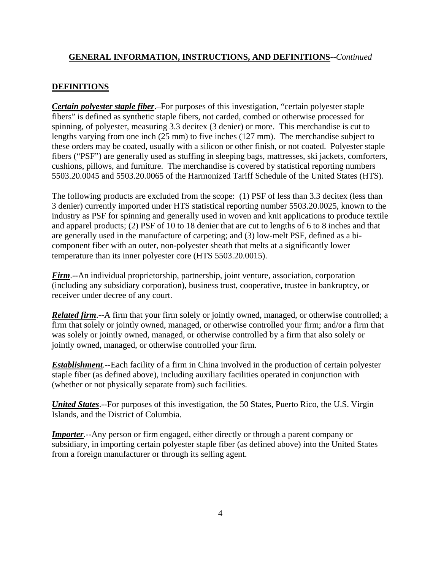#### **GENERAL INFORMATION, INSTRUCTIONS, AND DEFINITIONS**--*Continued*

#### **DEFINITIONS**

*Certain polyester staple fiber*.–For purposes of this investigation, "certain polyester staple fibers" is defined as synthetic staple fibers, not carded, combed or otherwise processed for spinning, of polyester, measuring 3.3 decitex (3 denier) or more. This merchandise is cut to lengths varying from one inch (25 mm) to five inches (127 mm). The merchandise subject to these orders may be coated, usually with a silicon or other finish, or not coated. Polyester staple fibers ("PSF") are generally used as stuffing in sleeping bags, mattresses, ski jackets, comforters, cushions, pillows, and furniture. The merchandise is covered by statistical reporting numbers 5503.20.0045 and 5503.20.0065 of the Harmonized Tariff Schedule of the United States (HTS).

The following products are excluded from the scope: (1) PSF of less than 3.3 decitex (less than 3 denier) currently imported under HTS statistical reporting number 5503.20.0025, known to the industry as PSF for spinning and generally used in woven and knit applications to produce textile and apparel products; (2) PSF of 10 to 18 denier that are cut to lengths of 6 to 8 inches and that are generally used in the manufacture of carpeting; and (3) low-melt PSF, defined as a bicomponent fiber with an outer, non-polyester sheath that melts at a significantly lower temperature than its inner polyester core (HTS 5503.20.0015).

*Firm*.--An individual proprietorship, partnership, joint venture, association, corporation (including any subsidiary corporation), business trust, cooperative, trustee in bankruptcy, or receiver under decree of any court.

*Related firm*.--A firm that your firm solely or jointly owned, managed, or otherwise controlled; a firm that solely or jointly owned, managed, or otherwise controlled your firm; and/or a firm that was solely or jointly owned, managed, or otherwise controlled by a firm that also solely or jointly owned, managed, or otherwise controlled your firm.

*Establishment*.--Each facility of a firm in China involved in the production of certain polyester staple fiber (as defined above), including auxiliary facilities operated in conjunction with (whether or not physically separate from) such facilities.

*United States*.--For purposes of this investigation, the 50 States, Puerto Rico, the U.S. Virgin Islands, and the District of Columbia.

*Importer*.--Any person or firm engaged, either directly or through a parent company or subsidiary, in importing certain polyester staple fiber (as defined above) into the United States from a foreign manufacturer or through its selling agent.